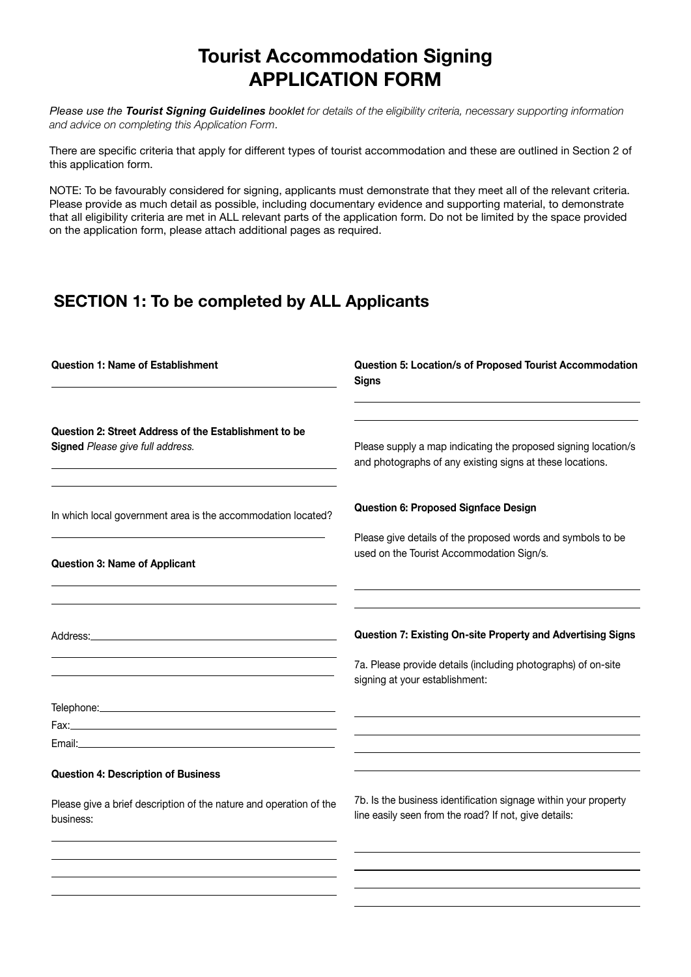# Tourist Accommodation Signing APPLICATION FORM

*Please use the Tourist Signing Guidelines booklet* for details of the eligibility criteria, necessary supporting information and advice on completing this Application Form*.*

There are specific criteria that apply for different types of tourist accommodation and these are outlined in Section 2 of this application form.

NOTE: To be favourably considered for signing, applicants must demonstrate that they meet all of the relevant criteria. Please provide as much detail as possible, including documentary evidence and supporting material, to demonstrate that all eligibility criteria are met in ALL relevant parts of the application form. Do not be limited by the space provided on the application form, please attach additional pages as required.

## SECTION 1: To be completed by ALL Applicants

| <b>Question 1: Name of Establishment</b>                                                  | Question 5: Location/s of Proposed Tourist Accommodation<br><b>Signs</b>                                                    |
|-------------------------------------------------------------------------------------------|-----------------------------------------------------------------------------------------------------------------------------|
| Question 2: Street Address of the Establishment to be<br>Signed Please give full address. | Please supply a map indicating the proposed signing location/s<br>and photographs of any existing signs at these locations. |
| In which local government area is the accommodation located?                              | Question 6: Proposed Signface Design                                                                                        |
| <b>Question 3: Name of Applicant</b>                                                      | Please give details of the proposed words and symbols to be<br>used on the Tourist Accommodation Sign/s.                    |
|                                                                                           | Question 7: Existing On-site Property and Advertising Signs                                                                 |
|                                                                                           | 7a. Please provide details (including photographs) of on-site<br>signing at your establishment:                             |
|                                                                                           |                                                                                                                             |
| <b>Question 4: Description of Business</b>                                                |                                                                                                                             |
| Please give a brief description of the nature and operation of the<br>business:           | 7b. Is the business identification signage within your property<br>line easily seen from the road? If not, give details:    |
|                                                                                           |                                                                                                                             |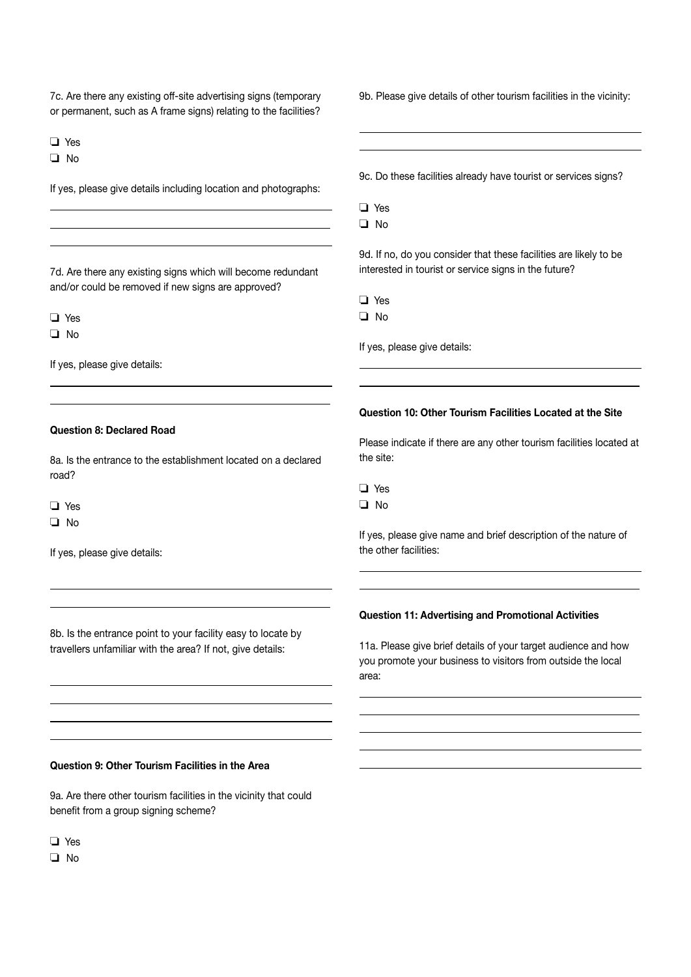7c. Are there any existing off-site advertising signs (temporary or permanent, such as A frame signs) relating to the facilities?

o Yes

 $\Box$  No

 $\overline{a}$  $\overline{a}$  $\overline{a}$ 

If yes, please give details including location and photographs:

7d. Are there any existing signs which will become redundant and/or could be removed if new signs are approved?

 $\Box$  Yes

 $\Box$  No

 $\overline{a}$  $\overline{a}$ 

If yes, please give details:

#### Question 8: Declared Road

8a. Is the entrance to the establishment located on a declared road?

o Yes

 $\Box$  No

 $\overline{a}$  $\overline{a}$ 

 $\overline{a}$ 

If yes, please give details:

8b. Is the entrance point to your facility easy to locate by travellers unfamiliar with the area? If not, give details:

9b. Please give details of other tourism facilities in the vicinity:

9c. Do these facilities already have tourist or services signs?

o Yes

L  $\overline{a}$ 

 $\Box$  No

9d. If no, do you consider that these facilities are likely to be interested in tourist or service signs in the future?

o Yes

 $\Box$  No

 $\overline{a}$  $\overline{a}$ 

If yes, please give details:

#### Question 10: Other Tourism Facilities Located at the Site

Please indicate if there are any other tourism facilities located at the site:

 $\Box$  No

 $\overline{a}$  $\overline{a}$ 

 $\overline{a}$  $\overline{a}$  $\overline{a}$ 

If yes, please give name and brief description of the nature of the other facilities:

#### Question 11: Advertising and Promotional Activities

11a. Please give brief details of your target audience and how you promote your business to visitors from outside the local area:

#### Question 9: Other Tourism Facilities in the Area

9a. Are there other tourism facilities in the vicinity that could benefit from a group signing scheme?

**D** Yes

 $\Box$  No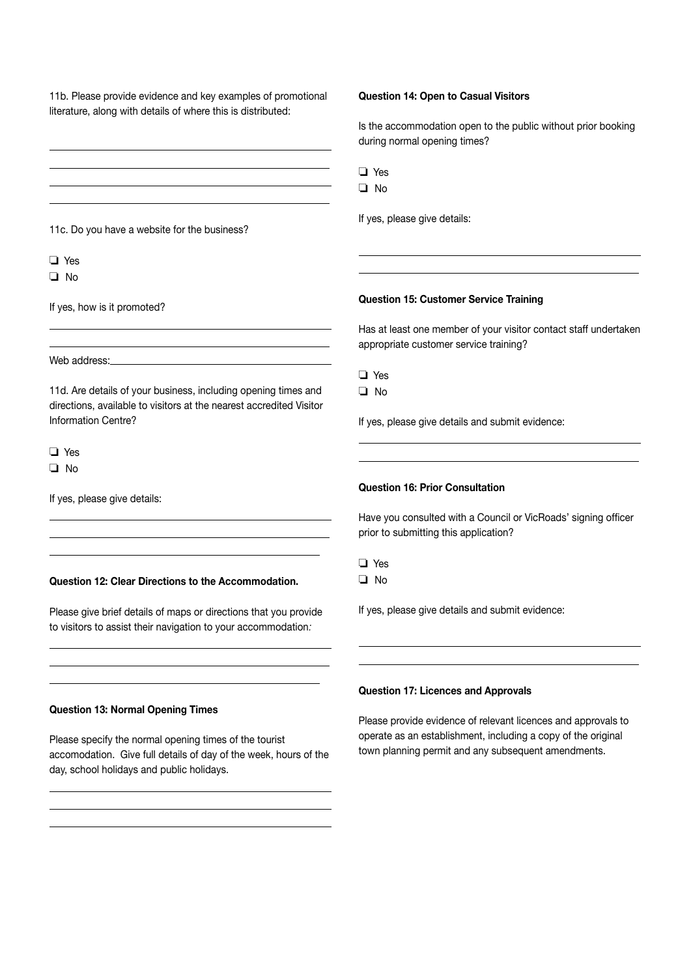literature, along with details of where this is distributed:  $\overline{a}$  $\overline{a}$  $\overline{a}$  $\overline{a}$ 11c. Do you have a website for the business?  $\Box$  Yes  $\Box$  No If yes, how is it promoted?  $\overline{a}$  $\overline{a}$ Web address: 11d. Are details of your business, including opening times and directions, available to visitors at the nearest accredited Visitor Information Centre? o Yes  $\Box$  No If yes, please give details:  $\overline{a}$  $\overline{a}$  $\overline{a}$ Question 12: Clear Directions to the Accommodation. Please give brief details of maps or directions that you provide to visitors to assist their navigation to your accommodation*:*   $\overline{a}$  $\overline{a}$  $\overline{a}$ Question 13: Normal Opening Times Please specify the normal opening times of the tourist accomodation. Give full details of day of the week, hours of the day, school holidays and public holidays.  $\overline{a}$ Is the accommodation open to the public without prior booking during normal opening times? o Yes  $\Box$  No If yes, please give details:  $\overline{a}$  $\overline{a}$ Question 15: Customer Service Training Has at least one member of your visitor contact staff undertaken appropriate customer service training? **D** Yes  $\Box$  No If yes, please give details and submit evidence:  $\overline{a}$  $\overline{a}$ Question 16: Prior Consultation Have you consulted with a Council or VicRoads' signing officer prior to submitting this application?  $\Box$  Yes  $\Box$  No If yes, please give details and submit evidence:  $\overline{a}$  $\overline{a}$ Question 17: Licences and Approvals Please provide evidence of relevant licences and approvals to operate as an establishment, including a copy of the original town planning permit and any subsequent amendments.

Question 14: Open to Casual Visitors

11b. Please provide evidence and key examples of promotional

 $\overline{a}$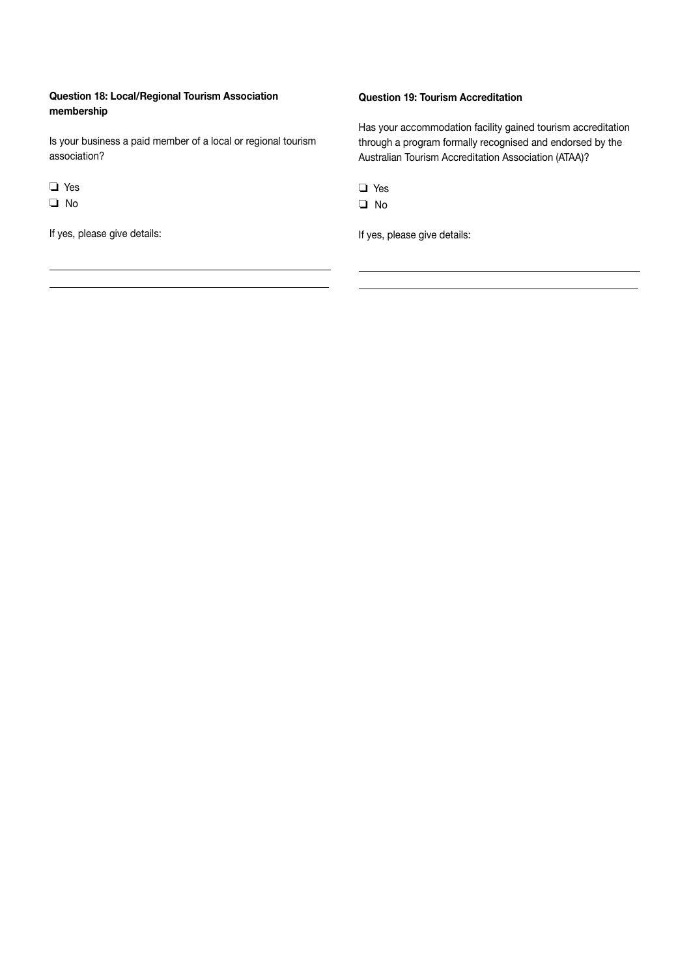### Question 18: Local/Regional Tourism Association membership

Is your business a paid member of a local or regional tourism association?

o Yes

 $\Box$  No

 $\overline{a}$  $\overline{a}$ 

If yes, please give details:

### Question 19: Tourism Accreditation

Has your accommodation facility gained tourism accreditation through a program formally recognised and endorsed by the Australian Tourism Accreditation Association (ATAA)?

**D** Yes

 $\Box$  No

 $\overline{a}$  $\overline{a}$ 

If yes, please give details: